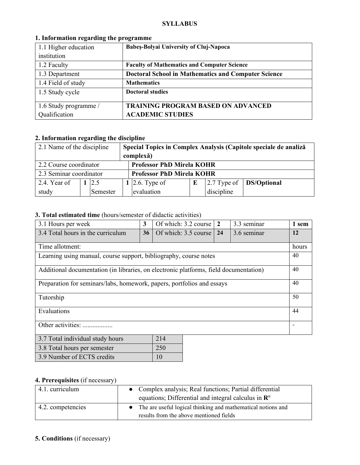#### **SYLLABUS**

| 1.1 Higher education  | <b>Babes-Bolyai University of Cluj-Napoca</b>              |
|-----------------------|------------------------------------------------------------|
| institution           |                                                            |
| 1.2 Faculty           | <b>Faculty of Mathematics and Computer Science</b>         |
| 1.3 Department        | <b>Doctoral School in Mathematics and Computer Science</b> |
| 1.4 Field of study    | <b>Mathematics</b>                                         |
| 1.5 Study cycle       | <b>Doctoral studies</b>                                    |
| 1.6 Study programme / | <b>TRAINING PROGRAM BASED ON ADVANCED</b>                  |
| Qualification         | <b>ACADEMIC STUDIES</b>                                    |

### **1. Information regarding the programme**

# **2. Information regarding the discipline**

| 2.1 Name of the discipline                                 |  |          | Special Topics in Complex Analysis (Capitole speciale de analiză |                                  |  |               |                    |
|------------------------------------------------------------|--|----------|------------------------------------------------------------------|----------------------------------|--|---------------|--------------------|
|                                                            |  |          |                                                                  | complexă)                        |  |               |                    |
| <b>Professor PhD Mirela KOHR</b><br>2.2 Course coordinator |  |          |                                                                  |                                  |  |               |                    |
| 2.3 Seminar coordinator                                    |  |          |                                                                  | <b>Professor PhD Mirela KOHR</b> |  |               |                    |
| 2.4. Year of                                               |  | 12.5     |                                                                  | 1 2.6. Type of                   |  | $2.7$ Type of | <b>DS/Optional</b> |
| study                                                      |  | Semester |                                                                  | evaluation                       |  | discipline    |                    |

## **3. Total estimated time** (hours/semester of didactic activities)

| 3.1 Hours per week                                                                    | 3  | Of which: 3.2 course | $\overline{2}$ | 3.3 seminar |  | 1 sem |
|---------------------------------------------------------------------------------------|----|----------------------|----------------|-------------|--|-------|
| 3.4 Total hours in the curriculum                                                     | 36 | Of which: 3.5 course | 24             | 3.6 seminar |  | 12    |
| Time allotment:                                                                       |    |                      |                |             |  |       |
| Learning using manual, course support, bibliography, course notes                     |    |                      |                |             |  | 40    |
| Additional documentation (in libraries, on electronic platforms, field documentation) |    |                      |                |             |  | 40    |
| Preparation for seminars/labs, homework, papers, portfolios and essays                |    |                      |                |             |  | 40    |
| Tutorship                                                                             |    |                      |                |             |  | 50    |
| Evaluations                                                                           |    |                      |                |             |  | 44    |
| Other activities:                                                                     |    |                      |                |             |  |       |
| 214<br>3.7 Total individual study hours                                               |    |                      |                |             |  |       |

| 3.7 Total murviqual study hours | 214 |
|---------------------------------|-----|
| 3.8 Total hours per semester    | 250 |
| 3.9 Number of ECTS credits      | 10  |

# **4. Prerequisites** (if necessary)

| 4.1. curriculum   | • Complex analysis; Real functions; Partial differential                                                |
|-------------------|---------------------------------------------------------------------------------------------------------|
|                   | equations; Differential and integral calculus in $\mathbb{R}^n$                                         |
| 4.2. competencies | The are useful logical thinking and mathematical notions and<br>results from the above mentioned fields |

# **5. Conditions** (if necessary)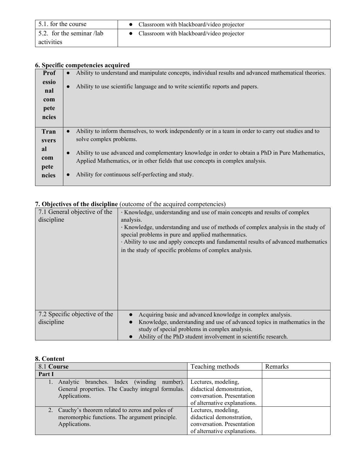| 5.1. for the course       | • Classroom with blackboard/video projector |
|---------------------------|---------------------------------------------|
| 5.2. for the seminar /lab | • Classroom with blackboard/video projector |
| activities                |                                             |

## **6. Specific competencies acquired**

|       | s peeme competencies acquirea                                                                                      |
|-------|--------------------------------------------------------------------------------------------------------------------|
| Prof  | Ability to understand and manipulate concepts, individual results and advanced mathematical theories.<br>$\bullet$ |
| essio | Ability to use scientific language and to write scientific reports and papers.                                     |
| nal   |                                                                                                                    |
| com   |                                                                                                                    |
| pete  |                                                                                                                    |
| ncies |                                                                                                                    |
|       |                                                                                                                    |
| Tran  | Ability to inform themselves, to work independently or in a team in order to carry out studies and to<br>$\bullet$ |
| svers | solve complex problems.                                                                                            |
| al    | Ability to use advanced and complementary knowledge in order to obtain a PhD in Pure Mathematics,<br>$\bullet$     |
| com   | Applied Mathematics, or in other fields that use concepts in complex analysis.                                     |
| pete  |                                                                                                                    |
| ncies | Ability for continuous self-perfecting and study.                                                                  |
|       |                                                                                                                    |

# **7. Objectives of the discipline** (outcome of the acquired competencies)

| 7.1 General objective of the<br>discipline  | · Knowledge, understanding and use of main concepts and results of complex<br>analysis.<br>· Knowledge, understanding and use of methods of complex analysis in the study of<br>special problems in pure and applied mathemnatics.<br>Ability to use and apply concepts and fundamental results of advanced mathematics<br>in the study of specific problems of complex analysis. |
|---------------------------------------------|-----------------------------------------------------------------------------------------------------------------------------------------------------------------------------------------------------------------------------------------------------------------------------------------------------------------------------------------------------------------------------------|
| 7.2 Specific objective of the<br>discipline | Acquiring basic and advanced knowledge in complex analysis.<br>Knowledge, understanding and use of advanced topics in mathematics in the<br>study of special problems in complex analysis.<br>Ability of the PhD student involvement in scientific research.                                                                                                                      |

## **8. Content**

| 8.1 Course |                                                   | Teaching methods             | Remarks |
|------------|---------------------------------------------------|------------------------------|---------|
| Part I     |                                                   |                              |         |
|            | branches. Index (winding<br>number).<br>Analytic  | Lectures, modeling,          |         |
|            | General properties. The Cauchy integral formulas. | didactical demonstration,    |         |
|            | Applications.                                     | conversation. Presentation   |         |
|            |                                                   | of alternative explanations. |         |
|            | 2. Cauchy's theorem related to zeros and poles of | Lectures, modeling,          |         |
|            | meromorphic functions. The argument principle.    | didactical demonstration,    |         |
|            | Applications.                                     | conversation. Presentation   |         |
|            |                                                   | of alternative explanations. |         |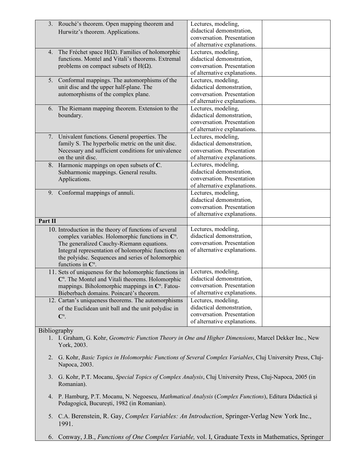|         | 3. Rouché's theorem. Open mapping theorem and                | Lectures, modeling,                                                                                    |
|---------|--------------------------------------------------------------|--------------------------------------------------------------------------------------------------------|
|         | Hurwitz's theorem. Applications.                             | didactical demonstration,                                                                              |
|         |                                                              | conversation. Presentation                                                                             |
|         |                                                              | of alternative explanations.                                                                           |
| 4.      | The Fréchet space $H(\Omega)$ . Families of holomorphic      | Lectures, modeling,                                                                                    |
|         | functions. Montel and Vitali's theorems. Extremal            | didactical demonstration,                                                                              |
|         | problems on compact subsets of $H(\Omega)$ .                 | conversation. Presentation                                                                             |
|         |                                                              | of alternative explanations.                                                                           |
|         | 5. Conformal mappings. The automorphisms of the              | Lectures, modeling,                                                                                    |
|         | unit disc and the upper half-plane. The                      | didactical demonstration,                                                                              |
|         | automorphisms of the complex plane.                          | conversation. Presentation                                                                             |
|         |                                                              | of alternative explanations.                                                                           |
| 6.      | The Riemann mapping theorem. Extension to the                | Lectures, modeling,                                                                                    |
|         | boundary.                                                    | didactical demonstration,                                                                              |
|         |                                                              | conversation. Presentation                                                                             |
|         |                                                              | of alternative explanations.                                                                           |
|         | 7. Univalent functions. General properties. The              | Lectures, modeling,                                                                                    |
|         | family S. The hyperbolic metric on the unit disc.            | didactical demonstration,                                                                              |
|         | Necessary and sufficient conditions for univalence           | conversation. Presentation                                                                             |
|         | on the unit disc.                                            | of alternative explanations.                                                                           |
|         | 8. Harmonic mappings on open subsets of C.                   | Lectures, modeling,                                                                                    |
|         | Subharmonic mappings. General results.                       | didactical demonstration,                                                                              |
|         | Applications.                                                | conversation. Presentation                                                                             |
|         |                                                              | of alternative explanations.                                                                           |
| 9.      | Conformal mappings of annuli.                                | Lectures, modeling,                                                                                    |
|         |                                                              | didactical demonstration,                                                                              |
|         |                                                              | conversation. Presentation                                                                             |
|         |                                                              | of alternative explanations.                                                                           |
| Part II |                                                              |                                                                                                        |
|         | 10. Introduction in the theory of functions of several       | Lectures, modeling,                                                                                    |
|         | complex variables. Holomorphic functions in $\mathbb{C}^n$ . | didactical demonstration,                                                                              |
|         | The generalized Cauchy-Riemann equations.                    | conversation. Presentation                                                                             |
|         | Integral representation of holomorphic functions on          | of alternative explanations.                                                                           |
|         | the polyidsc. Sequences and series of holomorphic            |                                                                                                        |
|         | functions in $\mathbb{C}^n$ .                                |                                                                                                        |
|         | 11. Sets of uniqueness for the holomorphic functions in      | Lectures, modeling,                                                                                    |
|         | $\mathbb{C}^n$ . The Montel and Vitali theorems. Holomorphic | didactical demonstration,                                                                              |
|         | mappings. Biholomorphic mappings in $\mathbb{C}^n$ . Fatou-  | conversation. Presentation                                                                             |
|         | Bieberbach domains. Poincaré's theorem.                      | of alternative explanations.                                                                           |
|         | 12. Cartan's uniqueness theorems. The automorphisms          | Lectures, modeling,                                                                                    |
|         | of the Euclidean unit ball and the unit polydisc in          | didactical demonstration,                                                                              |
|         | $\mathbb{C}^n$ .                                             | conversation. Presentation                                                                             |
|         |                                                              | of alternative explanations.                                                                           |
|         |                                                              |                                                                                                        |
|         | Bibliography                                                 |                                                                                                        |
|         |                                                              | 1. I. Graham, G. Kohr, Geometric Function Theory in One and Higher Dimensions, Marcel Dekker Inc., New |
|         | York, 2003.                                                  |                                                                                                        |
|         |                                                              |                                                                                                        |

- 2. G. Kohr, *Basic Topics in Holomorphic Functions of Several Complex Variables*, Cluj University Press, Cluj-Napoca, 2003.
- 3. G. Kohr, P.T. Mocanu, *Special Topics of Complex Analysis*, Cluj University Press, Cluj-Napoca, 2005 (in Romanian).
- 4. P. Hamburg, P.T. Mocanu, N. Negoescu, *Mathmatical Analysis* (*Complex Functions*), Editura Didactică şi Pedagogică, Bucureşti, 1982 (in Romanian).
- 5. C.A. Berenstein, R. Gay, *Complex Variables: An Introduction*, Springer-Verlag New York Inc., 1991.
- 6. Conway, J.B., *Functions of One Complex Variable,* vol. I, Graduate Texts in Mathematics, Springer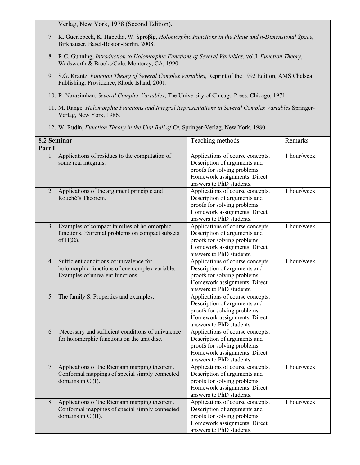Verlag, New York, 1978 (Second Edition).

- 7. K. Güerlebeck, K. Habetha, W. Spröβig, *Holomorphic Functions in the Plane and n-Dimensional Space,*  Birkhäuser, Basel-Boston-Berlin, 2008.
- 8. R.C. Gunning, *Introduction to Holomorphic Functions of Several Variables*, vol.I. *Function Theory*, Wadsworth & Brooks/Cole, Monterey, CA, 1990.
- 9. S.G. Krantz, *Function Theory of Several Complex Variables*, Reprint of the 1992 Edition, AMS Chelsea Publishing, Providence, Rhode Island, 2001.
- 10. R. Narasimhan, *Several Complex Variables*, The University of Chicago Press, Chicago, 1971.
- 11. M. Range, *Holomorphic Functions and Integral Representations in Several Complex Variables* Springer-Verlag, New York, 1986.
- 12. W. Rudin, *Function Theory in the Unit Ball of*  $C<sup>n</sup>$ , Springer-Verlag, New York, 1980.

|        | 8.2 Seminar                                                                                                                   | Teaching methods                                                                                                                                             | Remarks     |
|--------|-------------------------------------------------------------------------------------------------------------------------------|--------------------------------------------------------------------------------------------------------------------------------------------------------------|-------------|
| Part I |                                                                                                                               |                                                                                                                                                              |             |
| 1.     | Applications of residues to the computation of<br>some real integrals.                                                        | Applications of course concepts.<br>Description of arguments and<br>proofs for solving problems.<br>Homework assignments. Direct<br>answers to PhD students. | 1 hour/week |
|        | 2. Applications of the argument principle and<br>Rouché's Theorem.                                                            | Applications of course concepts.<br>Description of arguments and<br>proofs for solving problems.<br>Homework assignments. Direct<br>answers to PhD students. | 1 hour/week |
| 3.     | Examples of compact families of holomorphic<br>functions. Extremal problems on compact subsets<br>of $H(\Omega)$ .            | Applications of course concepts.<br>Description of arguments and<br>proofs for solving problems.<br>Homework assignments. Direct<br>answers to PhD students. | 1 hour/week |
| 4.     | Sufficient conditions of univalence for<br>holomorphic functions of one complex variable.<br>Examples of univalent functions. | Applications of course concepts.<br>Description of arguments and<br>proofs for solving problems.<br>Homework assignments. Direct<br>answers to PhD students. | 1 hour/week |
|        | 5. The family S. Properties and examples.                                                                                     | Applications of course concepts.<br>Description of arguments and<br>proofs for solving problems.<br>Homework assignments. Direct<br>answers to PhD students. |             |
| 6.     | .Necessary and sufficient conditions of univalence<br>for holomorphic functions on the unit disc.                             | Applications of course concepts.<br>Description of arguments and<br>proofs for solving problems.<br>Homework assignments. Direct<br>answers to PhD students. |             |
|        | 7. Applications of the Riemann mapping theorem.<br>Conformal mappings of special simply connected<br>domains in $C(I)$ .      | Applications of course concepts.<br>Description of arguments and<br>proofs for solving problems.<br>Homework assignments. Direct<br>answers to PhD students. | 1 hour/week |
| 8.     | Applications of the Riemann mapping theorem.<br>Conformal mappings of special simply connected<br>domains in $C$ (II).        | Applications of course concepts.<br>Description of arguments and<br>proofs for solving problems.<br>Homework assignments. Direct<br>answers to PhD students. | 1 hour/week |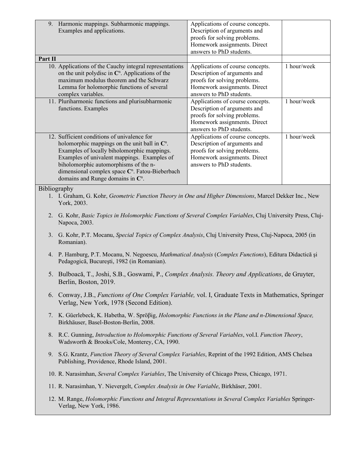|         | 9. Harmonic mappings. Subharmonic mappings.<br>Examples and applications.                                                                                                                                                                                                                                                                                       | Applications of course concepts.<br>Description of arguments and<br>proofs for solving problems.<br>Homework assignments. Direct<br>answers to PhD students. |             |  |  |  |
|---------|-----------------------------------------------------------------------------------------------------------------------------------------------------------------------------------------------------------------------------------------------------------------------------------------------------------------------------------------------------------------|--------------------------------------------------------------------------------------------------------------------------------------------------------------|-------------|--|--|--|
| Part II | 10. Applications of the Cauchy integral representations<br>on the unit polydisc in $\mathbb{C}^n$ . Applications of the<br>maximum modulus theorem and the Schwarz<br>Lemma for holomorphic functions of several<br>complex variables.                                                                                                                          | Applications of course concepts.<br>Description of arguments and<br>proofs for solving problems.<br>Homework assignments. Direct<br>answers to PhD students. | 1 hour/week |  |  |  |
|         | 11. Pluriharmonic functions and plurisubharmonic<br>functions. Examples                                                                                                                                                                                                                                                                                         | Applications of course concepts.<br>Description of arguments and<br>proofs for solving problems.<br>Homework assignments. Direct<br>answers to PhD students. | 1 hour/week |  |  |  |
|         | 12. Sufficient conditions of univalence for<br>holomorphic mappings on the unit ball in $\mathbb{C}^n$ .<br>Examples of locally biholomorphic mappings.<br>Examples of univalent mappings. Examples of<br>biholomorphic automorphisms of the n-<br>dimensional complex space C <sup>n</sup> . Fatou-Bieberbach<br>domains and Runge domains in $\mathbb{C}^n$ . | Applications of course concepts.<br>Description of arguments and<br>proofs for solving problems.<br>Homework assignments. Direct<br>answers to PhD students. | 1 hour/week |  |  |  |
|         | Bibliography<br>1. I. Graham, G. Kohr, Geometric Function Theory in One and Higher Dimensions, Marcel Dekker Inc., New<br>York, 2003.                                                                                                                                                                                                                           |                                                                                                                                                              |             |  |  |  |
|         | 2. G. Kohr, Basic Topics in Holomorphic Functions of Several Complex Variables, Cluj University Press, Cluj-<br>Napoca, 2003.                                                                                                                                                                                                                                   |                                                                                                                                                              |             |  |  |  |
|         | 3. G. Kohr, P.T. Mocanu, Special Topics of Complex Analysis, Cluj University Press, Cluj-Napoca, 2005 (in<br>Romanian).                                                                                                                                                                                                                                         |                                                                                                                                                              |             |  |  |  |
|         | 4. P. Hamburg, P.T. Mocanu, N. Negoescu, <i>Mathmatical Analysis</i> (Complex Functions), Editura Didactică și<br>Pedagogică, București, 1982 (in Romanian).                                                                                                                                                                                                    |                                                                                                                                                              |             |  |  |  |
|         | 5. Bulboacă, T., Joshi, S.B., Goswami, P., Complex Analysis. Theory and Applications, de Gruyter,<br>Berlin, Boston, 2019.                                                                                                                                                                                                                                      |                                                                                                                                                              |             |  |  |  |
|         | 6. Conway, J.B., Functions of One Complex Variable, vol. I, Graduate Texts in Mathematics, Springer<br>Verlag, New York, 1978 (Second Edition).                                                                                                                                                                                                                 |                                                                                                                                                              |             |  |  |  |
|         | 7. K. Güerlebeck, K. Habetha, W. Sprößig, Holomorphic Functions in the Plane and n-Dimensional Space,<br>Birkhäuser, Basel-Boston-Berlin, 2008.                                                                                                                                                                                                                 |                                                                                                                                                              |             |  |  |  |
|         | 8. R.C. Gunning, Introduction to Holomorphic Functions of Several Variables, vol.I. Function Theory,<br>Wadsworth & Brooks/Cole, Monterey, CA, 1990.                                                                                                                                                                                                            |                                                                                                                                                              |             |  |  |  |
|         | 9. S.G. Krantz, Function Theory of Several Complex Variables, Reprint of the 1992 Edition, AMS Chelsea<br>Publishing, Providence, Rhode Island, 2001.                                                                                                                                                                                                           |                                                                                                                                                              |             |  |  |  |
|         | 10. R. Narasimhan, Several Complex Variables, The University of Chicago Press, Chicago, 1971.                                                                                                                                                                                                                                                                   |                                                                                                                                                              |             |  |  |  |
|         | 11. R. Narasimhan, Y. Nievergelt, Complex Analysis in One Variable, Birkhäser, 2001.                                                                                                                                                                                                                                                                            |                                                                                                                                                              |             |  |  |  |
|         | 12. M. Range, <i>Holomorphic Functions and Integral Representations in Several Complex Variables Springer-</i><br>Verlag, New York, 1986.                                                                                                                                                                                                                       |                                                                                                                                                              |             |  |  |  |